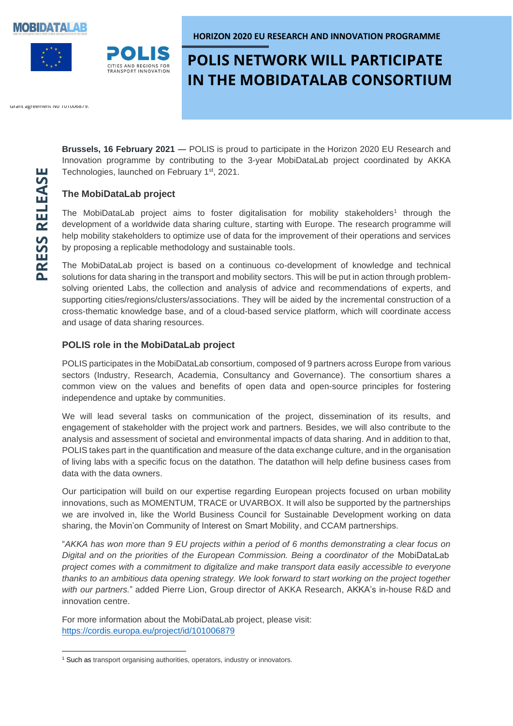





**HORIZON 2020 EU RESEARCH AND INNOVATION PROGRAMME**

# **POLIS NETWORK WILL PARTICIPATE IN THE MOBIDATALAB CONSORTIUM**

Grant agreement No TOTO00679.

**Brussels, 16 February 2021** ― POLIS is proud to participate in the Horizon 2020 EU Research and Innovation programme by contributing to the 3-year MobiDataLab project coordinated by AKKA Technologies, launched on February 1<sup>st</sup>, 2021.

### **The MobiDataLab project**

The MobiDataLab project aims to foster digitalisation for mobility stakeholders<sup>1</sup> through the development of a worldwide data sharing culture, starting with Europe. The research programme will help mobility stakeholders to optimize use of data for the improvement of their operations and services by proposing a replicable methodology and sustainable tools.

The MobiDataLab project is based on a continuous co-development of knowledge and technical solutions for data sharing in the transport and mobility sectors. This will be put in action through problemsolving oriented Labs, the collection and analysis of advice and recommendations of experts, and supporting cities/regions/clusters/associations. They will be aided by the incremental construction of a cross-thematic knowledge base, and of a cloud-based service platform, which will coordinate access and usage of data sharing resources.

### **POLIS role in the MobiDataLab project**

POLIS participates in the MobiDataLab consortium, composed of 9 partners across Europe from various sectors (Industry, Research, Academia, Consultancy and Governance). The consortium shares a common view on the values and benefits of open data and open-source principles for fostering independence and uptake by communities.

We will lead several tasks on communication of the project, dissemination of its results, and engagement of stakeholder with the project work and partners. Besides, we will also contribute to the analysis and assessment of societal and environmental impacts of data sharing. And in addition to that, POLIS takes part in the quantification and measure of the data exchange culture, and in the organisation of living labs with a specific focus on the datathon. The datathon will help define business cases from data with the data owners.

Our participation will build on our expertise regarding European projects focused on urban mobility innovations, such as MOMENTUM, TRACE or UVARBOX. It will also be supported by the partnerships we are involved in, like the World Business Council for Sustainable Development working on data sharing, the Movin'on Community of Interest on Smart Mobility, and CCAM partnerships.

"*AKKA has won more than 9 EU projects within a period of 6 months demonstrating a clear focus on Digital and on the priorities of the European Commission. Being a coordinator of the* MobiDataLab  *project comes with a commitment to digitalize and make transport data easily accessible to everyone thanks to an ambitious data opening strategy. We look forward to start working on the project together with our partners.*" added Pierre Lion, Group director of AKKA Research, AKKA's in-house R&D and innovation centre.

For more information about the MobiDataLab project, please visit: <https://cordis.europa.eu/project/id/101006879>

<sup>&</sup>lt;sup>1</sup> Such as transport organising authorities, operators, industry or innovators.